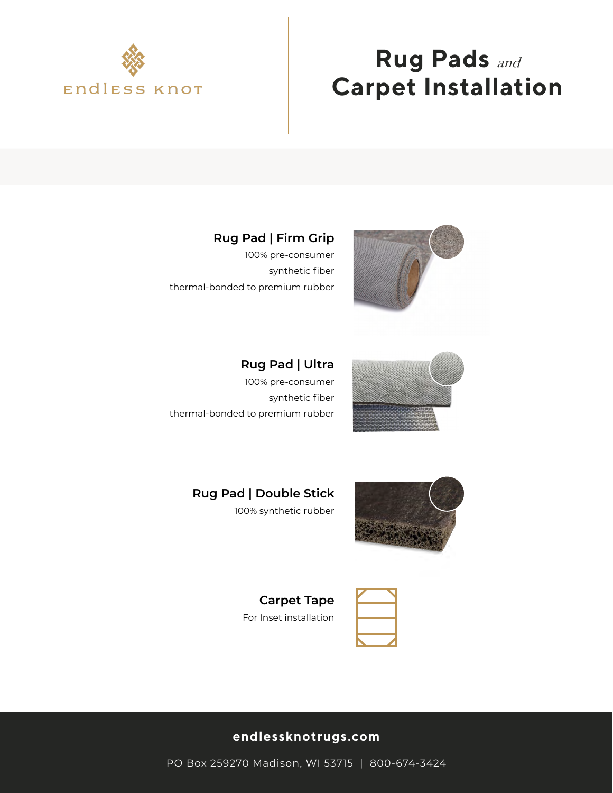

# **Rug Pads** and **Carpet Installation**

### **Rug Pad | Firm Grip**

100% pre-consumer synthetic fiber thermal-bonded to premium rubber



**Rug Pad | Ultra** 100% pre-consumer synthetic fiber thermal-bonded to premium rubber



**Rug Pad | Double Stick** 100% synthetic rubber





**Carpet Tape** For Inset installation

#### **endlessknotrugs.com**

PO Box 259270 Madison, WI 53715 | 800-674-3424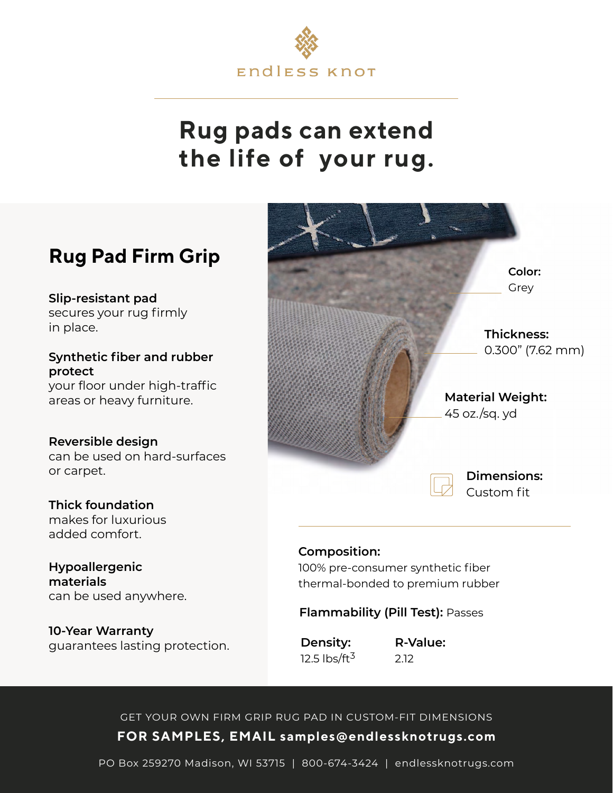

# **Rug pads can extend the life of your rug.**

## **Rug Pad Firm Grip**

**Slip-resistant pad** secures your rug firmly in place.

**Synthetic fiber and rubber protect** your floor under high-traffic areas or heavy furniture.

#### **Reversible design**

can be used on hard-surfaces or carpet.

### **Thick foundation**

makes for luxurious added comfort.

#### **Hypoallergenic materials** can be used anywhere.

**10-Year Warranty** guarantees lasting protection.



#### **Composition:**

100% pre-consumer synthetic fiber thermal-bonded to premium rubber

#### **Flammability (Pill Test):** Passes

**Density:** 12.5  $\frac{1}{5}$  lbs/ft<sup>3</sup> **R-Value:**  2.12

### **FOR SAMPLES, EMAIL samples@endlessknotrugs.com** GET YOUR OWN FIRM GRIP RUG PAD IN CUSTOM-FIT DIMENSIONS

PO Box 259270 Madison, WI 53715 | 800-674-3424 | endlessknotrugs.com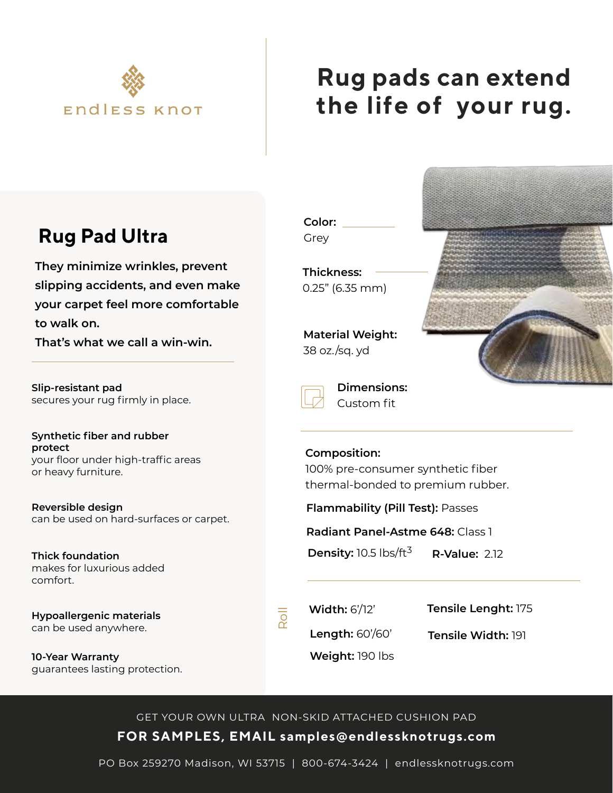

# **Rug pads can extend the life of your rug.**

## **Rug Pad Ultra**

**They minimize wrinkles, prevent slipping accidents, and even make your carpet feel more comfortable to walk on.** 

**That's what we call a win-win.**

**Slip-resistant pad** secures your rug firmly in place.

**Synthetic fiber and rubber protect** your floor under high-traffic areas or heavy furniture.

**Reversible design** can be used on hard-surfaces or carpet.

**Thick foundation** makes for luxurious added comfort.

**Hypoallergenic materials** can be used anywhere.

**10-Year Warranty** guarantees lasting protection. **Color:** Grey

**Thickness:** 0.25" (6.35 mm)

**Material Weight:** 38 oz./sq. yd



| Dimen  |
|--------|
| Custom |

**Dimensions:**  $n$  fit

#### **Composition:**

100% pre-consumer synthetic fiber thermal-bonded to premium rubber.

**Flammability (Pill Test):** Passes

**Radiant Panel-Astme 648:** Class 1

**Density:** 10.5 lbs/ft<sup>3</sup> **R-Value:** 2.12

**Width:** 6'/12'

**Tensile Lenght:** 175

**Length:** 60'/60'

**Tensile Width:** 191

**Weight:** 190 lbs

**FOR SAMPLES, EMAIL samples@endlessknotrugs.com** GET YOUR OWN ULTRA NON-SKID ATTACHED CUSHION PAD

Roll

PO Box 259270 Madison, WI 53715 | 800-674-3424 | endlessknotrugs.com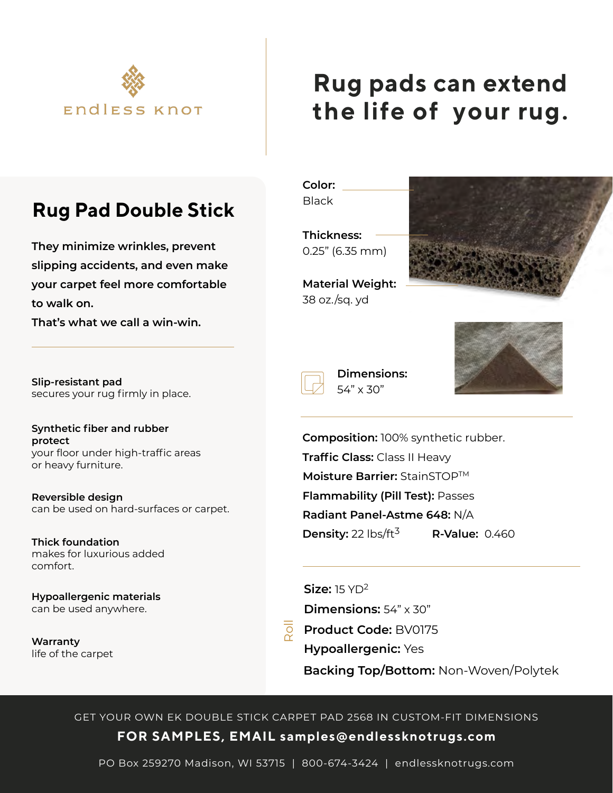

# **Rug pads can extend the life of your rug.**

## **Rug Pad Double Stick**

**They minimize wrinkles, prevent slipping accidents, and even make your carpet feel more comfortable to walk on.** 

**That's what we call a win-win.**

**Slip-resistant pad** secures your rug firmly in place.

**Synthetic fiber and rubber protect** your floor under high-traffic areas or heavy furniture.

**Reversible design** can be used on hard-surfaces or carpet.

**Thick foundation** makes for luxurious added comfort.

**Hypoallergenic materials** can be used anywhere.

**Warranty** life of the carpet **Color:**

**Black** 

**Thickness:** 0.25" (6.35 mm)

**Material Weight:** 38 oz./sq. yd

> **Dimensions:** 54" x 30"





**Flammability (Pill Test):** Passes **Moisture Barrier:** StainSTOPTM **Radiant Panel-Astme 648:** N/A **Composition:** 100% synthetic rubber. **Traffic Class:** Class II Heavy **Density:** 22 lbs/ft<sup>3</sup> **R-Value:** 0.460

**Size:** 15 YD2 **Dimensions: 54" x 30"** 

**Product Code:** BV0175 **Hypoallergenic:** Yes **Backing Top/Bottom:** Non-Woven/Polytek

**FOR SAMPLES, EMAIL samples@endlessknotrugs.com** GET YOUR OWN EK DOUBLE STICK CARPET PAD 2568 IN CUSTOM-FIT DIMENSIONS

PO Box 259270 Madison, WI 53715 | 800-674-3424 | endlessknotrugs.com